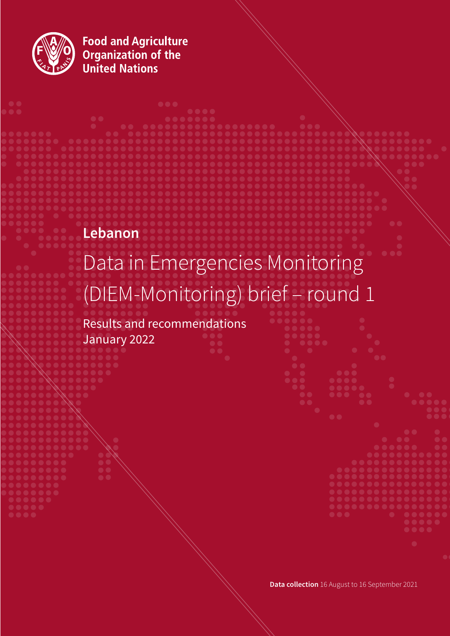

**Food and Agriculture<br>Organization of the<br>United Nations** 

# **Lebanon**

# Data in Emergencies Monitoring (DIEM-Monitoring) brief – round 1

**. . . .** 

Results and recommendations January 2022

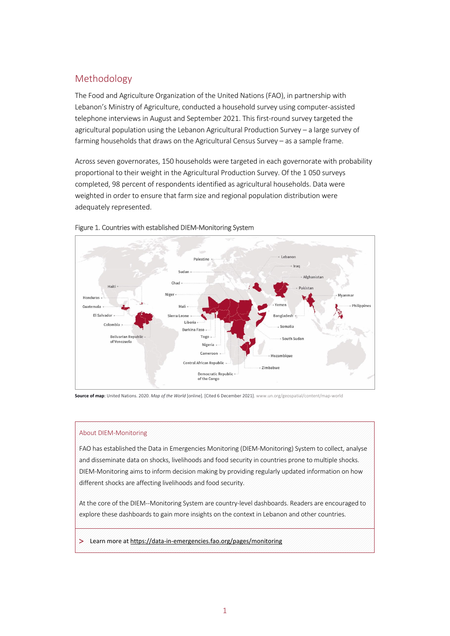# Methodology

The Food and Agriculture Organization of the United Nations (FAO), in partnership with Lebanon's Ministry of Agriculture, conducted a household survey using computer-assisted telephone interviews in August and September 2021. This first-round survey targeted the agricultural population using the Lebanon Agricultural Production Survey – a large survey of farming households that draws on the Agricultural Census Survey – as a sample frame.

Across seven governorates, 150 households were targeted in each governorate with probability proportional to their weight in the Agricultural Production Survey. Of the 1 050 surveys completed, 98 percent of respondents identified as agricultural households. Data were weighted in order to ensure that farm size and regional population distribution were adequately represented.





**Source of map**: United Nations. 2020. *Map of the World* [online]. [Cited 6 December 2021][. www.un.org/geospatial/content/map-world](https://www.un.org/geospatial/content/map-world) 

#### About DIEM-Monitoring

FAO has established the Data in Emergencies Monitoring (DIEM-Monitoring) System to collect, analyse and disseminate data on shocks, livelihoods and food security in countries prone to multiple shocks. DIEM-Monitoring aims to inform decision making by providing regularly updated information on how different shocks are affecting livelihoods and food security.

At the core of the DIEM--Monitoring System are country-level dashboards. Readers are encouraged to explore these dashboards to gain more insights on the context in Lebanon and other countries.

> Learn more a[t https://data-in-emergencies.fao.org/pages/monitoring](https://data-in-emergencies.fao.org/pages/monitoring)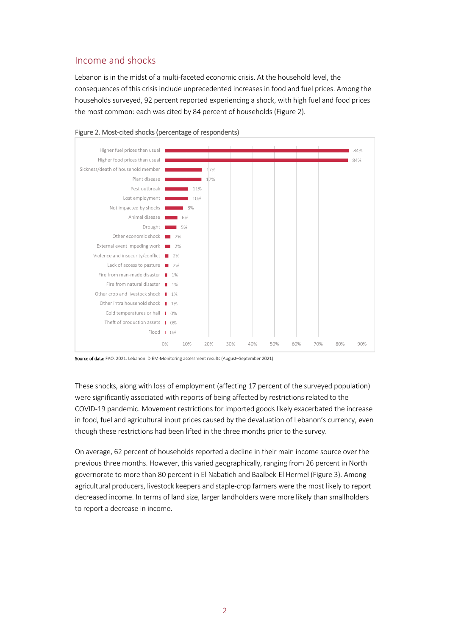## Income and shocks

Lebanon is in the midst of a multi-faceted economic crisis. At the household level, the consequences of this crisis include unprecedented increases in food and fuel prices. Among the households surveyed, 92 percent reported experiencing a shock, with high fuel and food prices the most common: each was cited by 84 percent of households (Figure 2).



#### Figure 2. Most-cited shocks (percentage of respondents)

Source of data: FAO. 2021. Lebanon: DIEM-Monitoring assessment results (August-September 2021).

These shocks, along with loss of employment (affecting 17 percent of the surveyed population) were significantly associated with reports of being affected by restrictions related to the COVID-19 pandemic. Movement restrictions for imported goods likely exacerbated the increase in food, fuel and agricultural input prices caused by the devaluation of Lebanon's currency, even though these restrictions had been lifted in the three months prior to the survey.

On average, 62 percent of households reported a decline in their main income source over the previous three months. However, this varied geographically, ranging from 26 percent in North governorate to more than 80 percent in El Nabatieh and Baalbek-El Hermel (Figure 3). Among agricultural producers, livestock keepers and staple-crop farmers were the most likely to report decreased income. In terms of land size, larger landholders were more likely than smallholders to report a decrease in income.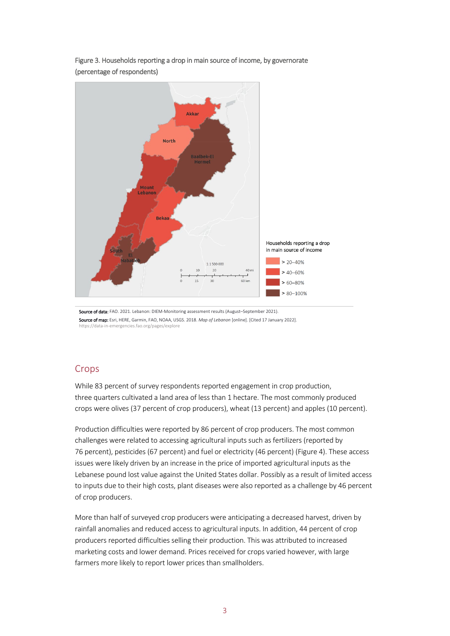

Figure 3. Households reporting a drop in main source of income, by governorate (percentage of respondents)

Source of data: FAO. 2021. Lebanon: DIEM-Monitoring assessment results (August-September 2021). Source of map: Esri, HERE, Garmin, FAO, NOAA, USGS. 2018. *Map of Lebanon* [online]. [Cited 17 January 2022]. https://data-in-[emergencies.fao.org/pages/explore](https://data-in-emergencies.fao.org/pages/explore)

## **Crops**

While 83 percent of survey respondents reported engagement in crop production, three quarters cultivated a land area of less than 1 hectare. The most commonly produced crops were olives (37 percent of crop producers), wheat (13 percent) and apples (10 percent).

Production difficulties were reported by 86 percent of crop producers. The most common challenges were related to accessing agricultural inputs such as fertilizers (reported by 76 percent), pesticides (67 percent) and fuel or electricity (46 percent) (Figure 4). These access issues were likely driven by an increase in the price of imported agricultural inputs as the Lebanese pound lost value against the United States dollar. Possibly as a result of limited access to inputs due to their high costs, plant diseases were also reported as a challenge by 46 percent of crop producers.

More than half of surveyed crop producers were anticipating a decreased harvest, driven by rainfall anomalies and reduced access to agricultural inputs. In addition, 44 percent of crop producers reported difficulties selling their production. This was attributed to increased marketing costs and lower demand. Prices received for crops varied however, with large farmers more likely to report lower prices than smallholders.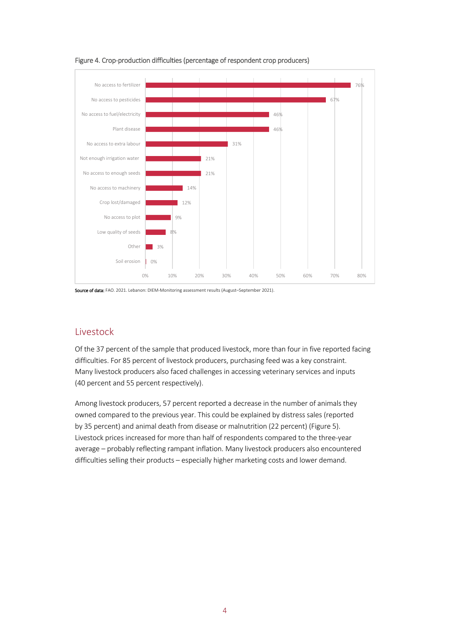

Figure 4. Crop-production difficulties (percentage of respondent crop producers)

## Livestock

Of the 37 percent of the sample that produced livestock, more than four in five reported facing difficulties. For 85 percent of livestock producers, purchasing feed was a key constraint. Many livestock producers also faced challenges in accessing veterinary services and inputs (40 percent and 55 percent respectively).

Among livestock producers, 57 percent reported a decrease in the number of animals they owned compared to the previous year. This could be explained by distress sales (reported by 35 percent) and animal death from disease or malnutrition (22 percent) (Figure 5). Livestock prices increased for more than half of respondents compared to the three-year average – probably reflecting rampant inflation. Many livestock producers also encountered difficulties selling their products – especially higher marketing costs and lower demand.

Source of data: FAO. 2021. Lebanon: DIEM-Monitoring assessment results (August-September 2021).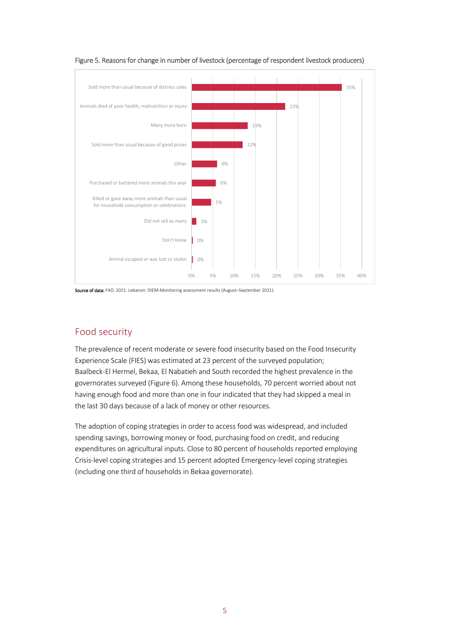

Figure 5. Reasons for change in number of livestock (percentage of respondent livestock producers)

Source of data: FAO. 2021. Lebanon: DIEM-Monitoring assessment results (August-September 2021).

# Food security

The prevalence of recent moderate or severe food insecurity based on the Food Insecurity Experience Scale (FIES) was estimated at 23 percent of the surveyed population; Baalbeck-El Hermel, Bekaa, El Nabatieh and South recorded the highest prevalence in the governorates surveyed (Figure 6). Among these households, 70 percent worried about not having enough food and more than one in four indicated that they had skipped a meal in the last 30 days because of a lack of money or other resources.

The adoption of coping strategies in order to access food was widespread, and included spending savings, borrowing money or food, purchasing food on credit, and reducing expenditures on agricultural inputs. Close to 80 percent of households reported employing Crisis-level coping strategies and 15 percent adopted Emergency-level coping strategies (including one third of households in Bekaa governorate).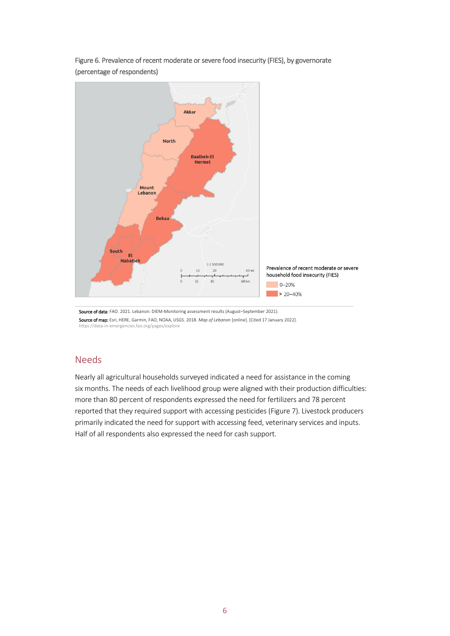

Figure 6. Prevalence of recent moderate or severe food insecurity (FIES), by governorate (percentage of respondents)

Source of data: FAO. 2021. Lebanon: DIEM-Monitoring assessment results (August-September 2021). Source of map: Esri, HERE, Garmin, FAO, NOAA, USGS. 2018. *Map of Lebanon* [online]. [Cited 17 January 2022]. <https://data-in-emergencies.fao.org/pages/explore>

#### Needs

Nearly all agricultural households surveyed indicated a need for assistance in the coming six months. The needs of each livelihood group were aligned with their production difficulties: more than 80 percent of respondents expressed the need for fertilizers and 78 percent reported that they required support with accessing pesticides (Figure 7). Livestock producers primarily indicated the need for support with accessing feed, veterinary services and inputs. Half of all respondents also expressed the need for cash support.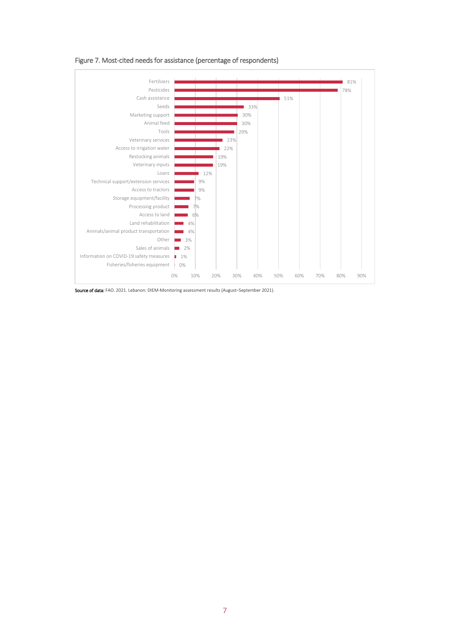

Figure 7. Most-cited needs for assistance (percentage of respondents)

Source of data: FAO. 2021. Lebanon: DIEM-Monitoring assessment results (August–September 2021).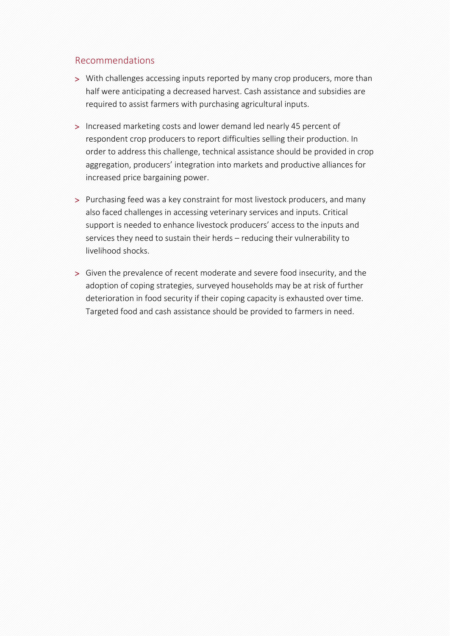#### Recommendations

- > With challenges accessing inputs reported by many crop producers, more than half were anticipating a decreased harvest. Cash assistance and subsidies are required to assist farmers with purchasing agricultural inputs.
- > Increased marketing costs and lower demand led nearly 45 percent of respondent crop producers to report difficulties selling their production. In order to address this challenge, technical assistance should be provided in crop aggregation, producers' integration into markets and productive alliances for increased price bargaining power.
- > Purchasing feed was a key constraint for most livestock producers, and many also faced challenges in accessing veterinary services and inputs. Critical support is needed to enhance livestock producers' access to the inputs and services they need to sustain their herds – reducing their vulnerability to livelihood shocks.
- > Given the prevalence of recent moderate and severe food insecurity, and the adoption of coping strategies, surveyed households may be at risk of further deterioration in food security if their coping capacity is exhausted over time. Targeted food and cash assistance should be provided to farmers in need.